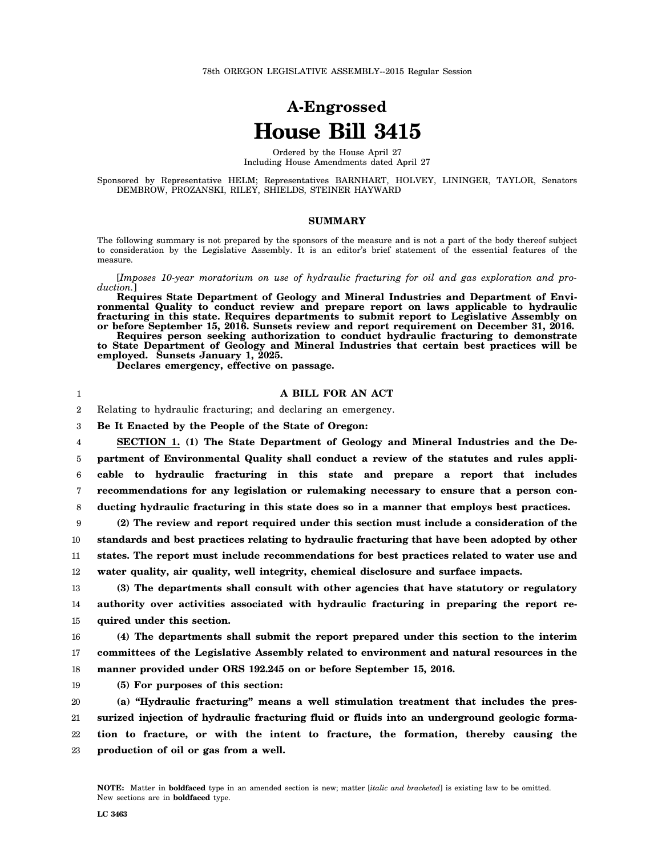## **A-Engrossed House Bill 3415**

Ordered by the House April 27 Including House Amendments dated April 27

Sponsored by Representative HELM; Representatives BARNHART, HOLVEY, LININGER, TAYLOR, Senators DEMBROW, PROZANSKI, RILEY, SHIELDS, STEINER HAYWARD

## **SUMMARY**

The following summary is not prepared by the sponsors of the measure and is not a part of the body thereof subject to consideration by the Legislative Assembly. It is an editor's brief statement of the essential features of the measure.

[*Imposes 10-year moratorium on use of hydraulic fracturing for oil and gas exploration and production.*]

**Requires State Department of Geology and Mineral Industries and Department of Environmental Quality to conduct review and prepare report on laws applicable to hydraulic fracturing in this state. Requires departments to submit report to Legislative Assembly on or before September 15, 2016. Sunsets review and report requirement on December 31, 2016.**

**Requires person seeking authorization to conduct hydraulic fracturing to demonstrate to State Department of Geology and Mineral Industries that certain best practices will be employed. Sunsets January 1, 2025.**

**Declares emergency, effective on passage.**

## **A BILL FOR AN ACT**

2 Relating to hydraulic fracturing; and declaring an emergency.

3 **Be It Enacted by the People of the State of Oregon:**

4 5 6 7 8 **SECTION 1. (1) The State Department of Geology and Mineral Industries and the Department of Environmental Quality shall conduct a review of the statutes and rules applicable to hydraulic fracturing in this state and prepare a report that includes recommendations for any legislation or rulemaking necessary to ensure that a person conducting hydraulic fracturing in this state does so in a manner that employs best practices.**

9 10 11 12 **(2) The review and report required under this section must include a consideration of the standards and best practices relating to hydraulic fracturing that have been adopted by other states. The report must include recommendations for best practices related to water use and water quality, air quality, well integrity, chemical disclosure and surface impacts.**

13 14 15 **(3) The departments shall consult with other agencies that have statutory or regulatory authority over activities associated with hydraulic fracturing in preparing the report required under this section.**

16 17 18 **(4) The departments shall submit the report prepared under this section to the interim committees of the Legislative Assembly related to environment and natural resources in the manner provided under ORS 192.245 on or before September 15, 2016.**

19 **(5) For purposes of this section:**

20 21 22 23 **(a) "Hydraulic fracturing" means a well stimulation treatment that includes the pressurized injection of hydraulic fracturing fluid or fluids into an underground geologic formation to fracture, or with the intent to fracture, the formation, thereby causing the production of oil or gas from a well.**

1